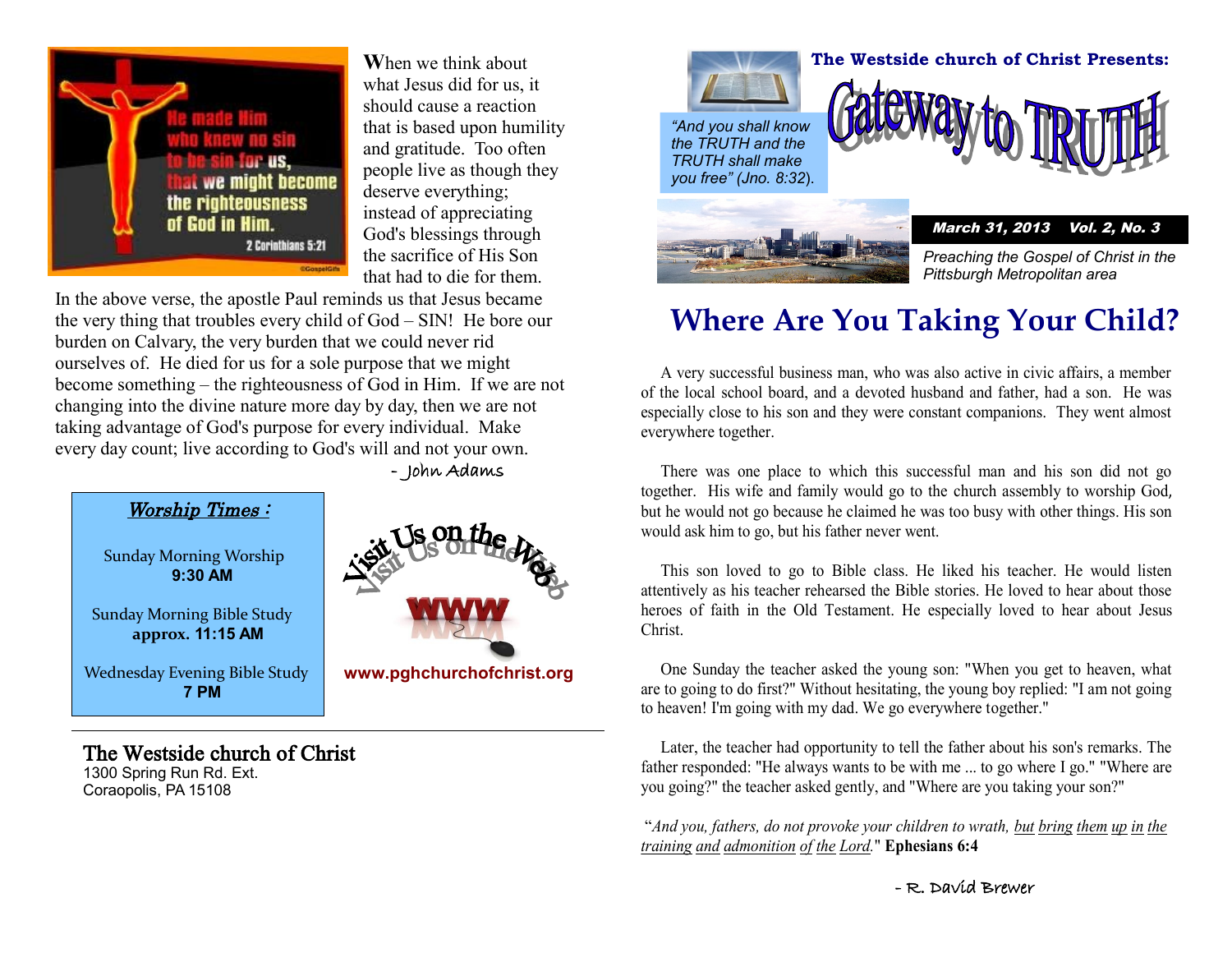

**W**hen we think about what Jesus did for us, it should cause a reaction that is based upon humility and gratitude. Too often people live as though they deserve everything; instead of appreciating God's blessings through the sacrifice of His Son that had to die for them.

burden on Calvary, the very burden that we could never rid become something – the righteousness of God in Him. If we are not changing into the divine nature more day by day, then we are not In the above verse, the apostle Paul reminds us that Jesus became the very thing that troubles every child of God – SIN! He bore our ourselves of. He died for us for a sole purpose that we might taking advantage of God's purpose for every individual. Make every day count; live according to God's will and not your own.

- John Adams



#### The Westside church of Christ

1300 Spring Run Rd. Ext. Coraopolis, PA 15108



*"And you shall know the TRUTH and the TRUTH shall make you free" (Jno. 8:32*).



*Preaching the Gospel of Christ in the Pittsburgh Metropolitan area*

### **Where Are You Taking Your Child?**

 A very successful business man, who was also active in civic affairs, a member of the local school board, and a devoted husband and father, had a son. He was especially close to his son and they were constant companions. They went almost everywhere together.

 There was one place to which this successful man and his son did not go together. His wife and family would go to the church assembly to worship God, but he would not go because he claimed he was too busy with other things. His son would ask him to go, but his father never went.

 This son loved to go to Bible class. He liked his teacher. He would listen attentively as his teacher rehearsed the Bible stories. He loved to hear about those heroes of faith in the Old Testament. He especially loved to hear about Jesus Christ.

 One Sunday the teacher asked the young son: "When you get to heaven, what are to going to do first?" Without hesitating, the young boy replied: "I am not going to heaven! I'm going with my dad. We go everywhere together."

 Later, the teacher had opportunity to tell the father about his son's remarks. The father responded: "He always wants to be with me ... to go where I go." "Where are you going?" the teacher asked gently, and "Where are you taking your son?"

"*And you, fathers, do not provoke your children to wrath, but bring them up in the training and admonition of the Lord.*" **Ephesians 6:4**

- R. David Brewer